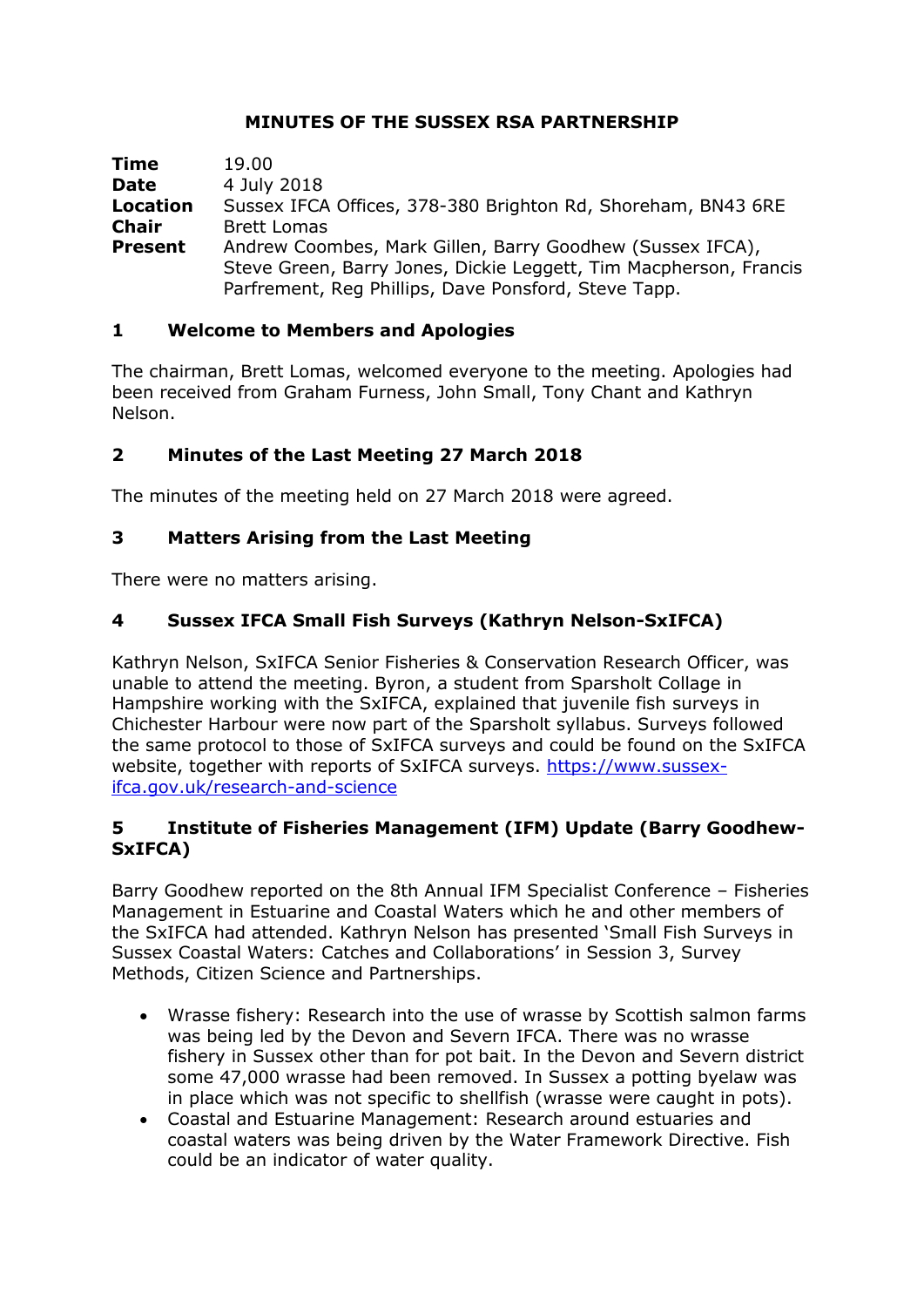## **MINUTES OF THE SUSSEX RSA PARTNERSHIP**

| Time            | 19.00                                                             |
|-----------------|-------------------------------------------------------------------|
| <b>Date</b>     | 4 July 2018                                                       |
| <b>Location</b> | Sussex IFCA Offices, 378-380 Brighton Rd, Shoreham, BN43 6RE      |
| <b>Chair</b>    | <b>Brett Lomas</b>                                                |
| <b>Present</b>  | Andrew Coombes, Mark Gillen, Barry Goodhew (Sussex IFCA),         |
|                 | Steve Green, Barry Jones, Dickie Leggett, Tim Macpherson, Francis |
|                 | Parfrement, Reg Phillips, Dave Ponsford, Steve Tapp.              |

## **1 Welcome to Members and Apologies**

The chairman, Brett Lomas, welcomed everyone to the meeting. Apologies had been received from Graham Furness, John Small, Tony Chant and Kathryn Nelson.

# **2 Minutes of the Last Meeting 27 March 2018**

The minutes of the meeting held on 27 March 2018 were agreed.

#### **3 Matters Arising from the Last Meeting**

There were no matters arising.

## **4 Sussex IFCA Small Fish Surveys (Kathryn Nelson-SxIFCA)**

Kathryn Nelson, SxIFCA Senior Fisheries & Conservation Research Officer, was unable to attend the meeting. Byron, a student from Sparsholt Collage in Hampshire working with the SxIFCA, explained that juvenile fish surveys in Chichester Harbour were now part of the Sparsholt syllabus. Surveys followed the same protocol to those of SxIFCA surveys and could be found on the SxIFCA website, together with reports of SxIFCA surveys. [https://www.sussex](https://www.sussex-ifca.gov.uk/research-and-science)[ifca.gov.uk/research-and-science](https://www.sussex-ifca.gov.uk/research-and-science)

#### **5 Institute of Fisheries Management (IFM) Update (Barry Goodhew-SxIFCA)**

Barry Goodhew reported on the 8th Annual IFM Specialist Conference – Fisheries Management in Estuarine and Coastal Waters which he and other members of the SxIFCA had attended. Kathryn Nelson has presented 'Small Fish Surveys in Sussex Coastal Waters: Catches and Collaborations' in Session 3, Survey Methods, Citizen Science and Partnerships.

- Wrasse fishery: Research into the use of wrasse by Scottish salmon farms was being led by the Devon and Severn IFCA. There was no wrasse fishery in Sussex other than for pot bait. In the Devon and Severn district some 47,000 wrasse had been removed. In Sussex a potting byelaw was in place which was not specific to shellfish (wrasse were caught in pots).
- Coastal and Estuarine Management: Research around estuaries and coastal waters was being driven by the Water Framework Directive. Fish could be an indicator of water quality.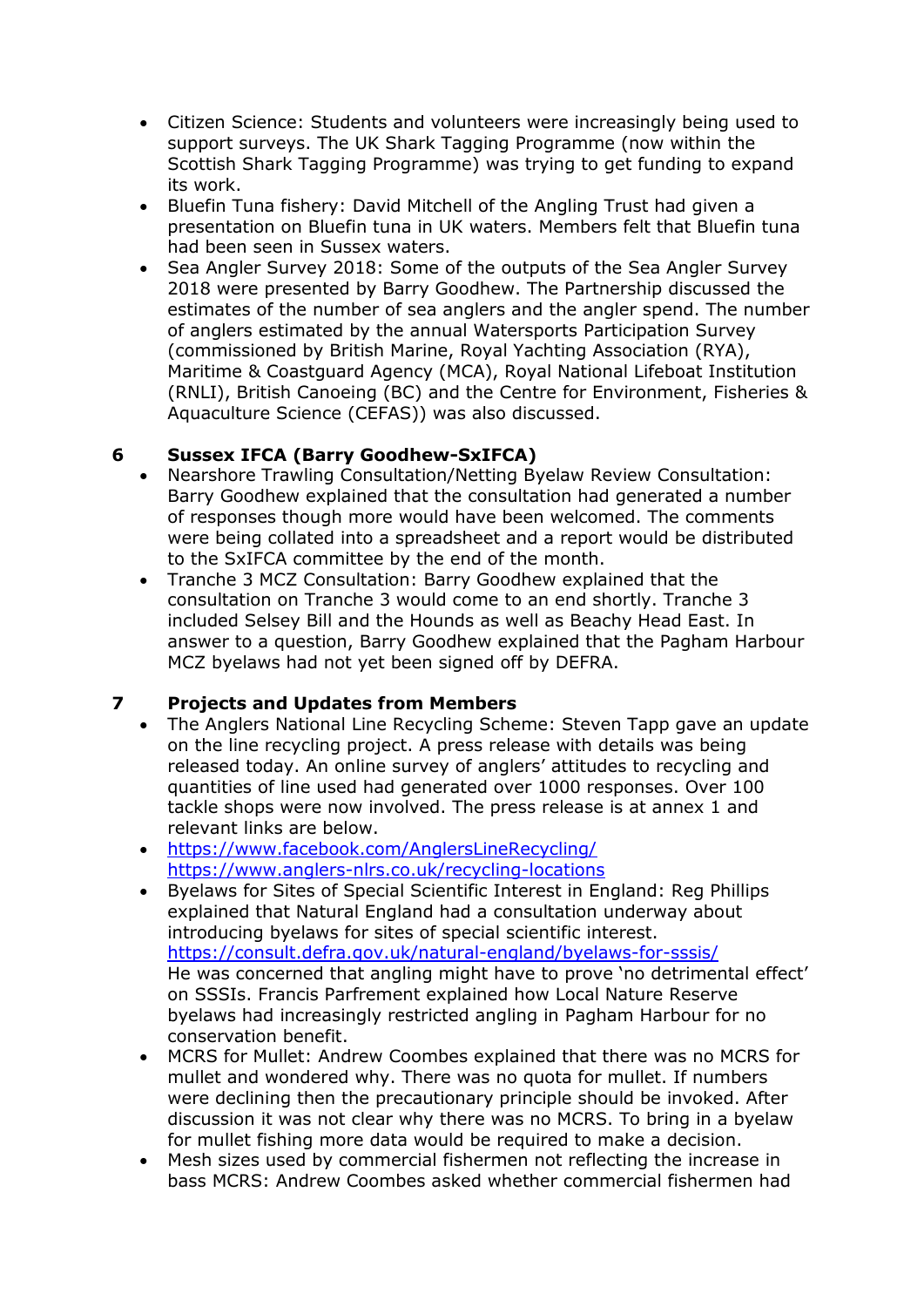- Citizen Science: Students and volunteers were increasingly being used to support surveys. The UK Shark Tagging Programme (now within the Scottish Shark Tagging Programme) was trying to get funding to expand its work.
- Bluefin Tuna fishery: David Mitchell of the Angling Trust had given a presentation on Bluefin tuna in UK waters. Members felt that Bluefin tuna had been seen in Sussex waters.
- Sea Angler Survey 2018: Some of the outputs of the Sea Angler Survey 2018 were presented by Barry Goodhew. The Partnership discussed the estimates of the number of sea anglers and the angler spend. The number of anglers estimated by the annual Watersports Participation Survey (commissioned by British Marine, Royal Yachting Association (RYA), Maritime & Coastguard Agency (MCA), Royal National Lifeboat Institution (RNLI), British Canoeing (BC) and the Centre for Environment, Fisheries & Aquaculture Science (CEFAS)) was also discussed.

# **6 Sussex IFCA (Barry Goodhew-SxIFCA)**

- Nearshore Trawling Consultation/Netting Byelaw Review Consultation: Barry Goodhew explained that the consultation had generated a number of responses though more would have been welcomed. The comments were being collated into a spreadsheet and a report would be distributed to the SxIFCA committee by the end of the month.
- Tranche 3 MCZ Consultation: Barry Goodhew explained that the consultation on Tranche 3 would come to an end shortly. Tranche 3 included Selsey Bill and the Hounds as well as Beachy Head East. In answer to a question, Barry Goodhew explained that the Pagham Harbour MCZ byelaws had not yet been signed off by DEFRA.

# **7 Projects and Updates from Members**

- The Anglers National Line Recycling Scheme: Steven Tapp gave an update on the line recycling project. A press release with details was being released today. An online survey of anglers' attitudes to recycling and quantities of line used had generated over 1000 responses. Over 100 tackle shops were now involved. The press release is at annex 1 and relevant links are below.
- <https://www.facebook.com/AnglersLineRecycling/> <https://www.anglers-nlrs.co.uk/recycling-locations>
- Byelaws for Sites of Special Scientific Interest in England: Reg Phillips explained that Natural England had a consultation underway about introducing byelaws for sites of special scientific interest. <https://consult.defra.gov.uk/natural-england/byelaws-for-sssis/> He was concerned that angling might have to prove 'no detrimental effect' on SSSIs. Francis Parfrement explained how Local Nature Reserve byelaws had increasingly restricted angling in Pagham Harbour for no conservation benefit.
- MCRS for Mullet: Andrew Coombes explained that there was no MCRS for mullet and wondered why. There was no quota for mullet. If numbers were declining then the precautionary principle should be invoked. After discussion it was not clear why there was no MCRS. To bring in a byelaw for mullet fishing more data would be required to make a decision.
- Mesh sizes used by commercial fishermen not reflecting the increase in bass MCRS: Andrew Coombes asked whether commercial fishermen had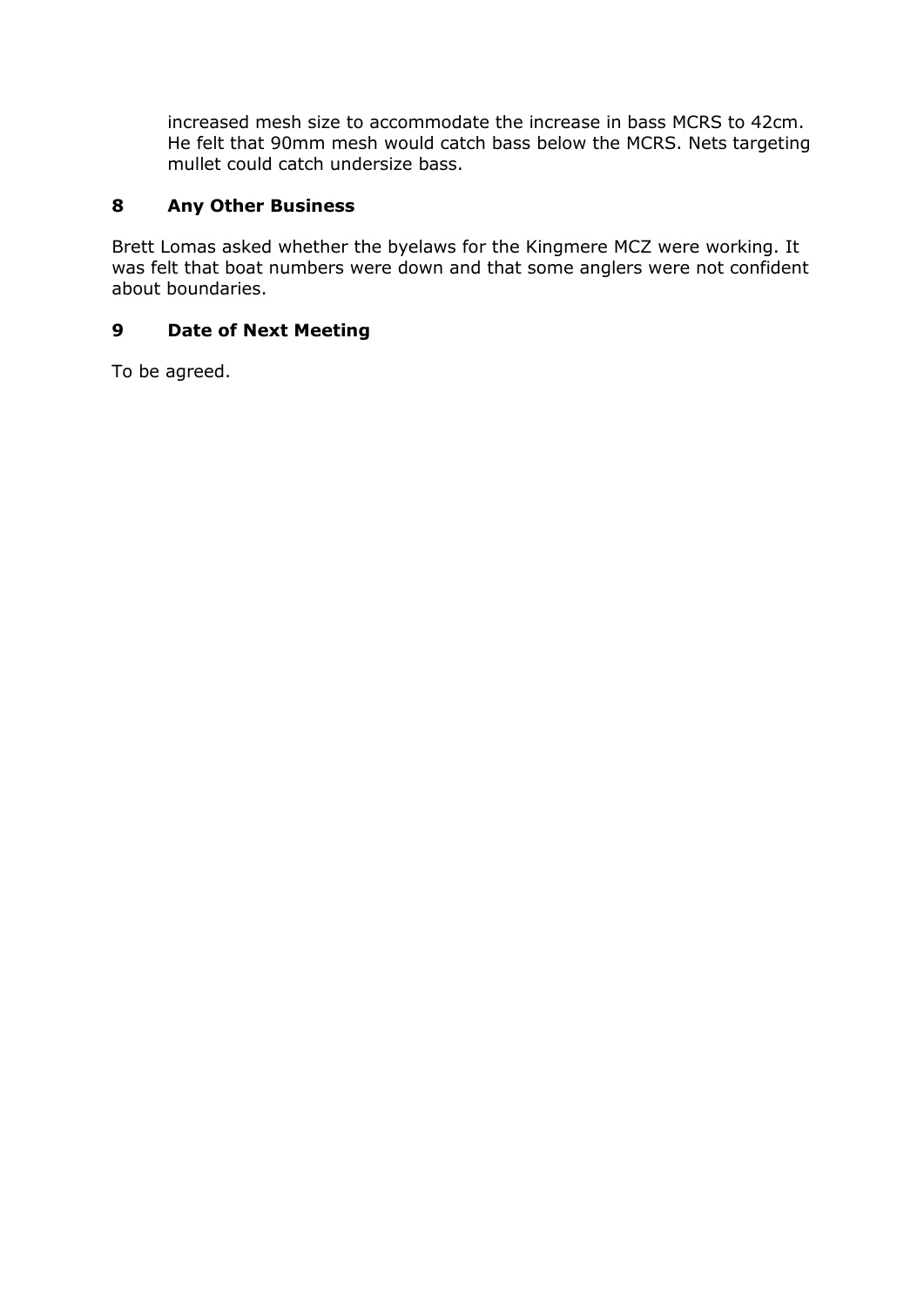increased mesh size to accommodate the increase in bass MCRS to 42cm. He felt that 90mm mesh would catch bass below the MCRS. Nets targeting mullet could catch undersize bass.

## **8 Any Other Business**

Brett Lomas asked whether the byelaws for the Kingmere MCZ were working. It was felt that boat numbers were down and that some anglers were not confident about boundaries.

## **9 Date of Next Meeting**

To be agreed.